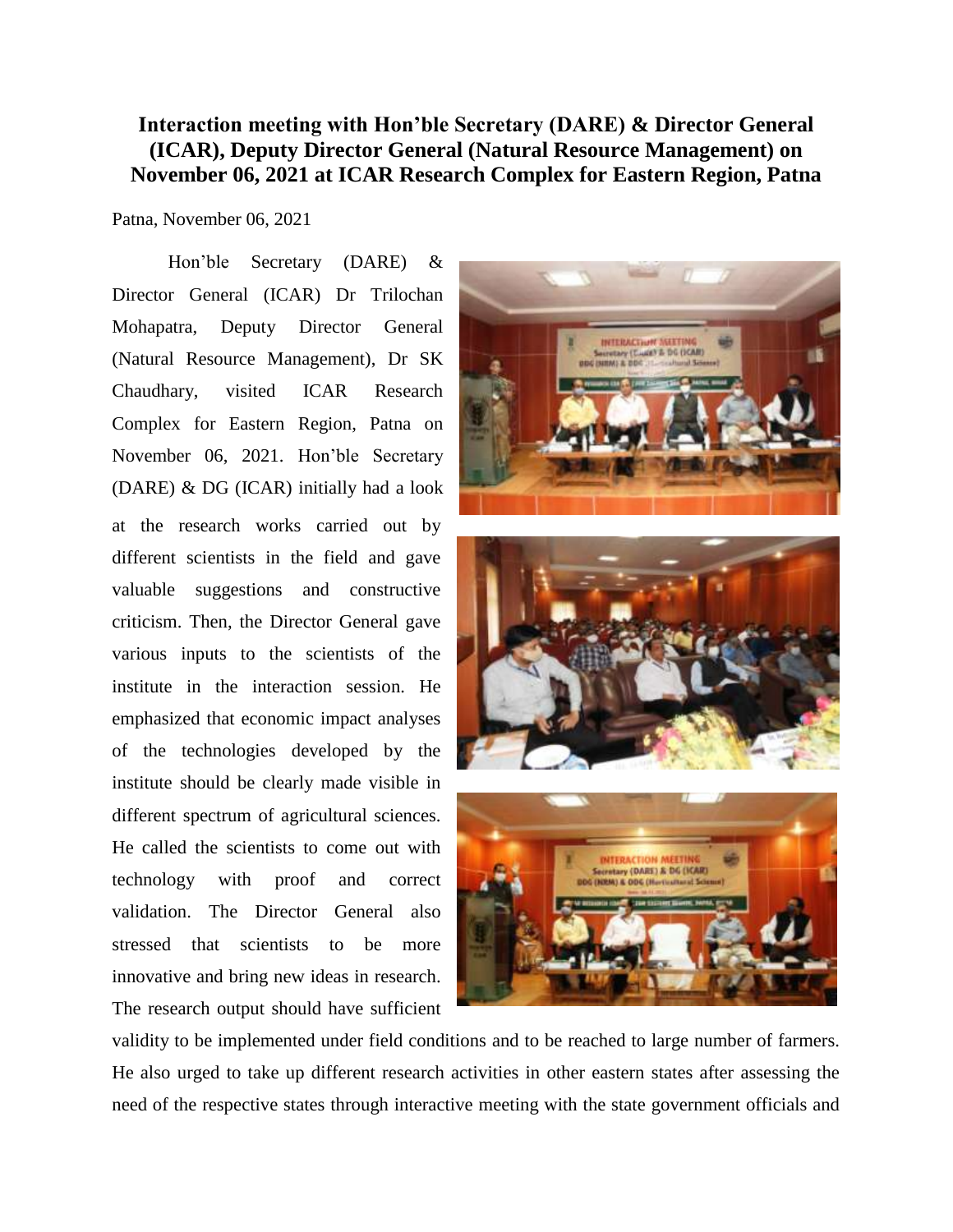## **Interaction meeting with Hon'ble Secretary (DARE) & Director General (ICAR), Deputy Director General (Natural Resource Management) on November 06, 2021 at ICAR Research Complex for Eastern Region, Patna**

Patna, November 06, 2021

Hon'ble Secretary (DARE) & Director General (ICAR) Dr Trilochan Mohapatra, Deputy Director General (Natural Resource Management), Dr SK Chaudhary, visited ICAR Research Complex for Eastern Region, Patna on November 06, 2021. Hon'ble Secretary (DARE) & DG (ICAR) initially had a look at the research works carried out by different scientists in the field and gave valuable suggestions and constructive criticism. Then, the Director General gave various inputs to the scientists of the institute in the interaction session. He emphasized that economic impact analyses of the technologies developed by the institute should be clearly made visible in different spectrum of agricultural sciences. He called the scientists to come out with technology with proof and correct validation. The Director General also stressed that scientists to be more innovative and bring new ideas in research. The research output should have sufficient



validity to be implemented under field conditions and to be reached to large number of farmers. He also urged to take up different research activities in other eastern states after assessing the need of the respective states through interactive meeting with the state government officials and